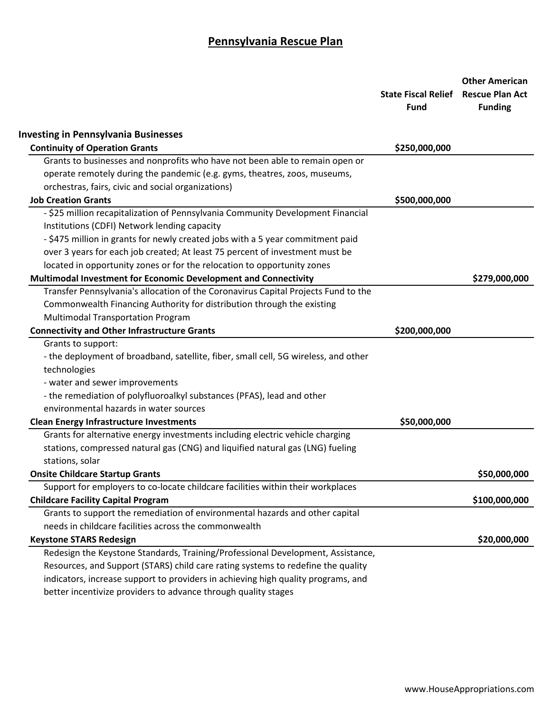|                                                                                     | <b>State Fiscal Relief</b><br><b>Fund</b> | <b>Other American</b><br><b>Rescue Plan Act</b><br><b>Funding</b> |
|-------------------------------------------------------------------------------------|-------------------------------------------|-------------------------------------------------------------------|
| <b>Investing in Pennsylvania Businesses</b>                                         |                                           |                                                                   |
| <b>Continuity of Operation Grants</b>                                               | \$250,000,000                             |                                                                   |
| Grants to businesses and nonprofits who have not been able to remain open or        |                                           |                                                                   |
| operate remotely during the pandemic (e.g. gyms, theatres, zoos, museums,           |                                           |                                                                   |
| orchestras, fairs, civic and social organizations)                                  |                                           |                                                                   |
| <b>Job Creation Grants</b>                                                          | \$500,000,000                             |                                                                   |
| - \$25 million recapitalization of Pennsylvania Community Development Financial     |                                           |                                                                   |
| Institutions (CDFI) Network lending capacity                                        |                                           |                                                                   |
| - \$475 million in grants for newly created jobs with a 5 year commitment paid      |                                           |                                                                   |
| over 3 years for each job created; At least 75 percent of investment must be        |                                           |                                                                   |
| located in opportunity zones or for the relocation to opportunity zones             |                                           |                                                                   |
| Multimodal Investment for Economic Development and Connectivity                     |                                           | \$279,000,000                                                     |
| Transfer Pennsylvania's allocation of the Coronavirus Capital Projects Fund to the  |                                           |                                                                   |
| Commonwealth Financing Authority for distribution through the existing              |                                           |                                                                   |
| <b>Multimodal Transportation Program</b>                                            |                                           |                                                                   |
| <b>Connectivity and Other Infrastructure Grants</b>                                 | \$200,000,000                             |                                                                   |
| Grants to support:                                                                  |                                           |                                                                   |
| - the deployment of broadband, satellite, fiber, small cell, 5G wireless, and other |                                           |                                                                   |
| technologies                                                                        |                                           |                                                                   |
| - water and sewer improvements                                                      |                                           |                                                                   |
| - the remediation of polyfluoroalkyl substances (PFAS), lead and other              |                                           |                                                                   |
| environmental hazards in water sources                                              |                                           |                                                                   |
| <b>Clean Energy Infrastructure Investments</b>                                      | \$50,000,000                              |                                                                   |
| Grants for alternative energy investments including electric vehicle charging       |                                           |                                                                   |
| stations, compressed natural gas (CNG) and liquified natural gas (LNG) fueling      |                                           |                                                                   |
| stations, solar                                                                     |                                           |                                                                   |
| <b>Onsite Childcare Startup Grants</b>                                              |                                           | \$50,000,000                                                      |
| Support for employers to co-locate childcare facilities within their workplaces     |                                           |                                                                   |
| <b>Childcare Facility Capital Program</b>                                           |                                           | \$100,000,000                                                     |
| Grants to support the remediation of environmental hazards and other capital        |                                           |                                                                   |
| needs in childcare facilities across the commonwealth                               |                                           |                                                                   |
| <b>Keystone STARS Redesign</b>                                                      |                                           | \$20,000,000                                                      |
| Redesign the Keystone Standards, Training/Professional Development, Assistance,     |                                           |                                                                   |
| Resources, and Support (STARS) child care rating systems to redefine the quality    |                                           |                                                                   |
| indicators, increase support to providers in achieving high quality programs, and   |                                           |                                                                   |
| better incentivize providers to advance through quality stages                      |                                           |                                                                   |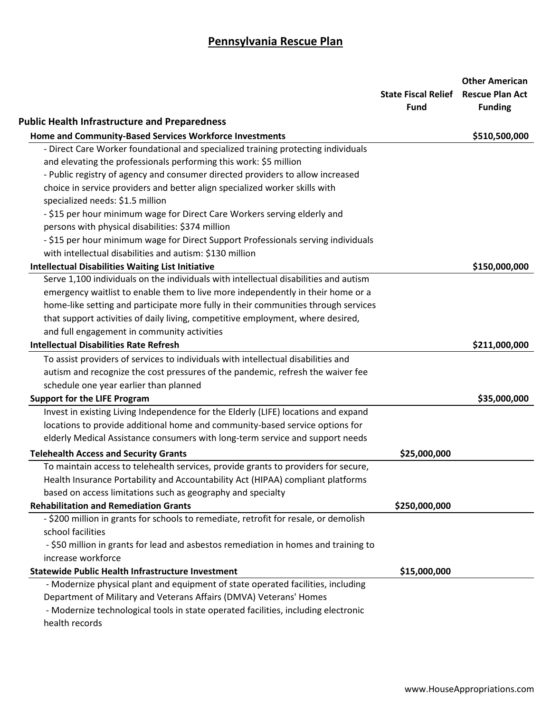|                                                                                      | <b>State Fiscal Relief Rescue Plan Act</b><br><b>Fund</b> | <b>Other American</b><br><b>Funding</b> |
|--------------------------------------------------------------------------------------|-----------------------------------------------------------|-----------------------------------------|
| <b>Public Health Infrastructure and Preparedness</b>                                 |                                                           |                                         |
| Home and Community-Based Services Workforce Investments                              |                                                           | \$510,500,000                           |
| - Direct Care Worker foundational and specialized training protecting individuals    |                                                           |                                         |
| and elevating the professionals performing this work: \$5 million                    |                                                           |                                         |
| - Public registry of agency and consumer directed providers to allow increased       |                                                           |                                         |
| choice in service providers and better align specialized worker skills with          |                                                           |                                         |
| specialized needs: \$1.5 million                                                     |                                                           |                                         |
| - \$15 per hour minimum wage for Direct Care Workers serving elderly and             |                                                           |                                         |
| persons with physical disabilities: \$374 million                                    |                                                           |                                         |
| - \$15 per hour minimum wage for Direct Support Professionals serving individuals    |                                                           |                                         |
| with intellectual disabilities and autism: \$130 million                             |                                                           |                                         |
| <b>Intellectual Disabilities Waiting List Initiative</b>                             |                                                           | \$150,000,000                           |
| Serve 1,100 individuals on the individuals with intellectual disabilities and autism |                                                           |                                         |
| emergency waitlist to enable them to live more independently in their home or a      |                                                           |                                         |
| home-like setting and participate more fully in their communities through services   |                                                           |                                         |
| that support activities of daily living, competitive employment, where desired,      |                                                           |                                         |
| and full engagement in community activities                                          |                                                           |                                         |
| <b>Intellectual Disabilities Rate Refresh</b>                                        |                                                           | \$211,000,000                           |
| To assist providers of services to individuals with intellectual disabilities and    |                                                           |                                         |
| autism and recognize the cost pressures of the pandemic, refresh the waiver fee      |                                                           |                                         |
| schedule one year earlier than planned                                               |                                                           |                                         |
| <b>Support for the LIFE Program</b>                                                  |                                                           | \$35,000,000                            |
| Invest in existing Living Independence for the Elderly (LIFE) locations and expand   |                                                           |                                         |
| locations to provide additional home and community-based service options for         |                                                           |                                         |
| elderly Medical Assistance consumers with long-term service and support needs        |                                                           |                                         |
| <b>Telehealth Access and Security Grants</b>                                         | \$25,000,000                                              |                                         |
| To maintain access to telehealth services, provide grants to providers for secure,   |                                                           |                                         |
| Health Insurance Portability and Accountability Act (HIPAA) compliant platforms      |                                                           |                                         |
| based on access limitations such as geography and specialty                          |                                                           |                                         |
| <b>Rehabilitation and Remediation Grants</b>                                         | \$250,000,000                                             |                                         |
| - \$200 million in grants for schools to remediate, retrofit for resale, or demolish |                                                           |                                         |
| school facilities                                                                    |                                                           |                                         |
| - \$50 million in grants for lead and asbestos remediation in homes and training to  |                                                           |                                         |
| increase workforce                                                                   |                                                           |                                         |
| <b>Statewide Public Health Infrastructure Investment</b>                             | \$15,000,000                                              |                                         |
| - Modernize physical plant and equipment of state operated facilities, including     |                                                           |                                         |
| Department of Military and Veterans Affairs (DMVA) Veterans' Homes                   |                                                           |                                         |
| - Modernize technological tools in state operated facilities, including electronic   |                                                           |                                         |
| health records                                                                       |                                                           |                                         |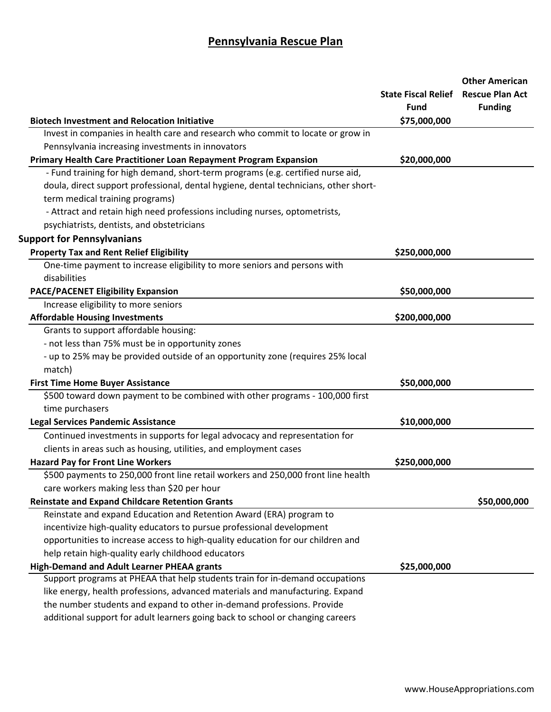|                                                                                      | <b>State Fiscal Relief</b><br><b>Fund</b> | <b>Other American</b><br><b>Rescue Plan Act</b><br><b>Funding</b> |
|--------------------------------------------------------------------------------------|-------------------------------------------|-------------------------------------------------------------------|
| <b>Biotech Investment and Relocation Initiative</b>                                  | \$75,000,000                              |                                                                   |
| Invest in companies in health care and research who commit to locate or grow in      |                                           |                                                                   |
| Pennsylvania increasing investments in innovators                                    |                                           |                                                                   |
| Primary Health Care Practitioner Loan Repayment Program Expansion                    | \$20,000,000                              |                                                                   |
| - Fund training for high demand, short-term programs (e.g. certified nurse aid,      |                                           |                                                                   |
| doula, direct support professional, dental hygiene, dental technicians, other short- |                                           |                                                                   |
| term medical training programs)                                                      |                                           |                                                                   |
| - Attract and retain high need professions including nurses, optometrists,           |                                           |                                                                   |
| psychiatrists, dentists, and obstetricians                                           |                                           |                                                                   |
| <b>Support for Pennsylvanians</b>                                                    |                                           |                                                                   |
| <b>Property Tax and Rent Relief Eligibility</b>                                      | \$250,000,000                             |                                                                   |
| One-time payment to increase eligibility to more seniors and persons with            |                                           |                                                                   |
| disabilities                                                                         |                                           |                                                                   |
| <b>PACE/PACENET Eligibility Expansion</b>                                            | \$50,000,000                              |                                                                   |
| Increase eligibility to more seniors                                                 |                                           |                                                                   |
| <b>Affordable Housing Investments</b>                                                | \$200,000,000                             |                                                                   |
| Grants to support affordable housing:                                                |                                           |                                                                   |
| - not less than 75% must be in opportunity zones                                     |                                           |                                                                   |
| - up to 25% may be provided outside of an opportunity zone (requires 25% local       |                                           |                                                                   |
| match)                                                                               |                                           |                                                                   |
| <b>First Time Home Buyer Assistance</b>                                              | \$50,000,000                              |                                                                   |
| \$500 toward down payment to be combined with other programs - 100,000 first         |                                           |                                                                   |
| time purchasers                                                                      |                                           |                                                                   |
| <b>Legal Services Pandemic Assistance</b>                                            | \$10,000,000                              |                                                                   |
| Continued investments in supports for legal advocacy and representation for          |                                           |                                                                   |
| clients in areas such as housing, utilities, and employment cases                    |                                           |                                                                   |
| <b>Hazard Pay for Front Line Workers</b>                                             | \$250,000,000                             |                                                                   |
| \$500 payments to 250,000 front line retail workers and 250,000 front line health    |                                           |                                                                   |
| care workers making less than \$20 per hour                                          |                                           |                                                                   |
| <b>Reinstate and Expand Childcare Retention Grants</b>                               |                                           | \$50,000,000                                                      |
| Reinstate and expand Education and Retention Award (ERA) program to                  |                                           |                                                                   |
| incentivize high-quality educators to pursue professional development                |                                           |                                                                   |
| opportunities to increase access to high-quality education for our children and      |                                           |                                                                   |
| help retain high-quality early childhood educators                                   |                                           |                                                                   |
| High-Demand and Adult Learner PHEAA grants                                           | \$25,000,000                              |                                                                   |
| Support programs at PHEAA that help students train for in-demand occupations         |                                           |                                                                   |
| like energy, health professions, advanced materials and manufacturing. Expand        |                                           |                                                                   |
| the number students and expand to other in-demand professions. Provide               |                                           |                                                                   |
| additional support for adult learners going back to school or changing careers       |                                           |                                                                   |